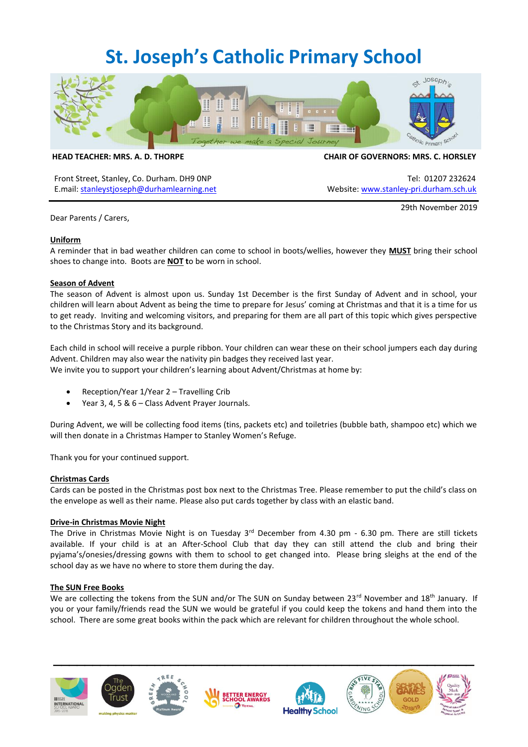# **St. Joseph's Catholic Primary School**



Front Street, Stanley, Co. Durham. DH9 ONP Tel: 01207 232624 E.mail: [stanleystjoseph@durhamlearning.net](mailto:stanleystjoseph@durhamlearning.net) Website[: www.stanley-pri.durham.sch.uk](http://www.stanley-pri.durham.sch.uk/)

**HEAD TEACHER: MRS. A. D. THORPE CHAIR OF GOVERNORS: MRS. C. HORSLEY**

Dear Parents / Carers,

29th November 2019

## **Uniform**

A reminder that in bad weather children can come to school in boots/wellies, however they **MUST** bring their school shoes to change into. Boots are **NOT t**o be worn in school.

## **Season of Advent**

The season of Advent is almost upon us. Sunday 1st December is the first Sunday of Advent and in school, your children will learn about Advent as being the time to prepare for Jesus' coming at Christmas and that it is a time for us to get ready. Inviting and welcoming visitors, and preparing for them are all part of this topic which gives perspective to the Christmas Story and its background.

Each child in school will receive a purple ribbon. Your children can wear these on their school jumpers each day during Advent. Children may also wear the nativity pin badges they received last year. We invite you to support your children's learning about Advent/Christmas at home by:

- Reception/Year 1/Year 2 Travelling Crib
- Year 3, 4, 5 & 6 Class Advent Prayer Journals.

During Advent, we will be collecting food items (tins, packets etc) and toiletries (bubble bath, shampoo etc) which we will then donate in a Christmas Hamper to Stanley Women's Refuge.

Thank you for your continued support.

#### **Christmas Cards**

Cards can be posted in the Christmas post box next to the Christmas Tree. Please remember to put the child's class on the envelope as well as their name. Please also put cards together by class with an elastic band.

#### **Drive-in Christmas Movie Night**

The Drive in Christmas Movie Night is on Tuesday 3<sup>rd</sup> December from 4.30 pm - 6.30 pm. There are still tickets available. If your child is at an After-School Club that day they can still attend the club and bring their pyjama's/onesies/dressing gowns with them to school to get changed into. Please bring sleighs at the end of the school day as we have no where to store them during the day.

#### **The SUN Free Books**

We are collecting the tokens from the SUN and/or The SUN on Sunday between 23rd November and 18th January. If you or your family/friends read the SUN we would be grateful if you could keep the tokens and hand them into the school. There are some great books within the pack which are relevant for children throughout the whole school.

**\_\_\_\_\_\_\_\_\_\_\_\_\_\_\_\_\_\_\_\_\_\_\_\_\_\_\_\_\_\_\_\_\_\_\_\_\_\_\_\_\_\_\_\_\_\_\_\_\_\_\_\_\_\_**







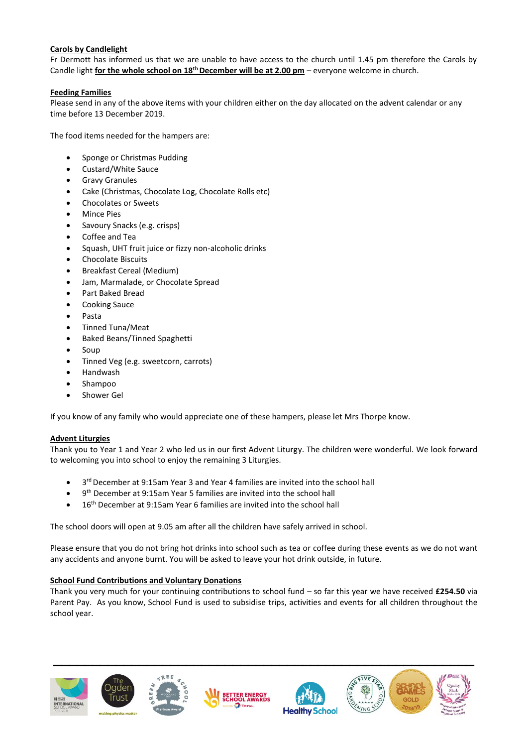# **Carols by Candlelight**

Fr Dermott has informed us that we are unable to have access to the church until 1.45 pm therefore the Carols by Candle light **for the whole school on 18th December will be at 2.00 pm** – everyone welcome in church.

# **Feeding Families**

Please send in any of the above items with your children either on the day allocated on the advent calendar or any time before 13 December 2019.

The food items needed for the hampers are:

- Sponge or Christmas Pudding
- Custard/White Sauce
- Gravy Granules
- Cake (Christmas, Chocolate Log, Chocolate Rolls etc)
- Chocolates or Sweets
- **Mince Pies**
- Savoury Snacks (e.g. crisps)
- Coffee and Tea
- Squash, UHT fruit juice or fizzy non-alcoholic drinks
- Chocolate Biscuits
- Breakfast Cereal (Medium)
- Jam, Marmalade, or Chocolate Spread
- Part Baked Bread
- Cooking Sauce
- Pasta
- Tinned Tuna/Meat
- Baked Beans/Tinned Spaghetti
- Soup
- Tinned Veg (e.g. sweetcorn, carrots)
- Handwash
- Shampoo
- Shower Gel

If you know of any family who would appreciate one of these hampers, please let Mrs Thorpe know.

# **Advent Liturgies**

Thank you to Year 1 and Year 2 who led us in our first Advent Liturgy. The children were wonderful. We look forward to welcoming you into school to enjoy the remaining 3 Liturgies.

- 3<sup>rd</sup> December at 9:15am Year 3 and Year 4 families are invited into the school hall
- 9<sup>th</sup> December at 9:15am Year 5 families are invited into the school hall
- 16<sup>th</sup> December at 9:15am Year 6 families are invited into the school hall

The school doors will open at 9.05 am after all the children have safely arrived in school.

Please ensure that you do not bring hot drinks into school such as tea or coffee during these events as we do not want any accidents and anyone burnt. You will be asked to leave your hot drink outside, in future.

# **School Fund Contributions and Voluntary Donations**

Thank you very much for your continuing contributions to school fund – so far this year we have received **£254.50** via Parent Pay. As you know, School Fund is used to subsidise trips, activities and events for all children throughout the school year.

**\_\_\_\_\_\_\_\_\_\_\_\_\_\_\_\_\_\_\_\_\_\_\_\_\_\_\_\_\_\_\_\_\_\_\_\_\_\_\_\_\_\_\_\_\_\_\_\_\_\_\_\_\_\_**